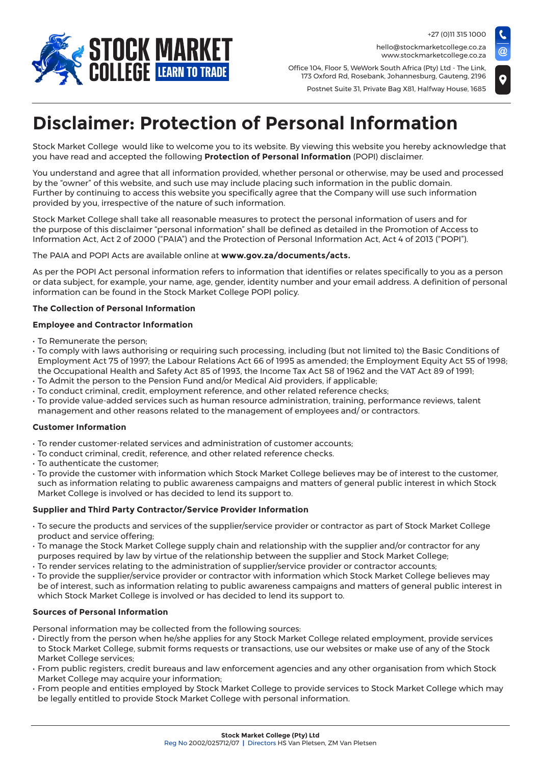

+27 (0)11 315 1000 hello@stockmarketcollege.co.za www.stockmarketcollege.co.za

Office 104, Floor 5, WeWork South Africa (Pty) Ltd - The Link, 173 Oxford Rd, Rosebank, Johannesburg, Gauteng, 2196

Postnet Suite 31, Private Bag X81, Halfway House, 1685



# **Disclaimer: Protection of Personal Information**

Stock Market College would like to welcome you to its website. By viewing this website you hereby acknowledge that you have read and accepted the following **Protection of Personal Information** (POPI) disclaimer.

You understand and agree that all information provided, whether personal or otherwise, may be used and processed by the "owner" of this website, and such use may include placing such information in the public domain. Further by continuing to access this website you specifically agree that the Company will use such information provided by you, irrespective of the nature of such information.

Stock Market College shall take all reasonable measures to protect the personal information of users and for the purpose of this disclaimer "personal information" shall be defined as detailed in the Promotion of Access to Information Act, Act 2 of 2000 ("PAIA") and the Protection of Personal Information Act, Act 4 of 2013 ("POPI").

# The PAIA and POPI Acts are available online at **www.gov.za/documents/acts.**

As per the POPI Act personal information refers to information that identifies or relates specifically to you as a person or data subject, for example, your name, age, gender, identity number and your email address. A definition of personal information can be found in the Stock Market College POPI policy.

# **The Collection of Personal Information**

# **Employee and Contractor Information**

- To Remunerate the person;
- To comply with laws authorising or requiring such processing, including (but not limited to) the Basic Conditions of Employment Act 75 of 1997; the Labour Relations Act 66 of 1995 as amended; the Employment Equity Act 55 of 1998; the Occupational Health and Safety Act 85 of 1993, the Income Tax Act 58 of 1962 and the VAT Act 89 of 1991;
- To Admit the person to the Pension Fund and/or Medical Aid providers, if applicable;
- To conduct criminal, credit, employment reference, and other related reference checks;
- To provide value-added services such as human resource administration, training, performance reviews, talent management and other reasons related to the management of employees and/ or contractors.

#### **Customer Information**

- To render customer-related services and administration of customer accounts;
- To conduct criminal, credit, reference, and other related reference checks.
- To authenticate the customer;
- To provide the customer with information which Stock Market College believes may be of interest to the customer, such as information relating to public awareness campaigns and matters of general public interest in which Stock Market College is involved or has decided to lend its support to.

# **Supplier and Third Party Contractor/Service Provider Information**

- To secure the products and services of the supplier/service provider or contractor as part of Stock Market College product and service offering;
- To manage the Stock Market College supply chain and relationship with the supplier and/or contractor for any purposes required by law by virtue of the relationship between the supplier and Stock Market College;
- To render services relating to the administration of supplier/service provider or contractor accounts;
- To provide the supplier/service provider or contractor with information which Stock Market College believes may be of interest, such as information relating to public awareness campaigns and matters of general public interest in which Stock Market College is involved or has decided to lend its support to.

#### **Sources of Personal Information**

Personal information may be collected from the following sources:

- Directly from the person when he/she applies for any Stock Market College related employment, provide services to Stock Market College, submit forms requests or transactions, use our websites or make use of any of the Stock Market College services;
- From public registers, credit bureaus and law enforcement agencies and any other organisation from which Stock Market College may acquire your information;
- From people and entities employed by Stock Market College to provide services to Stock Market College which may be legally entitled to provide Stock Market College with personal information.